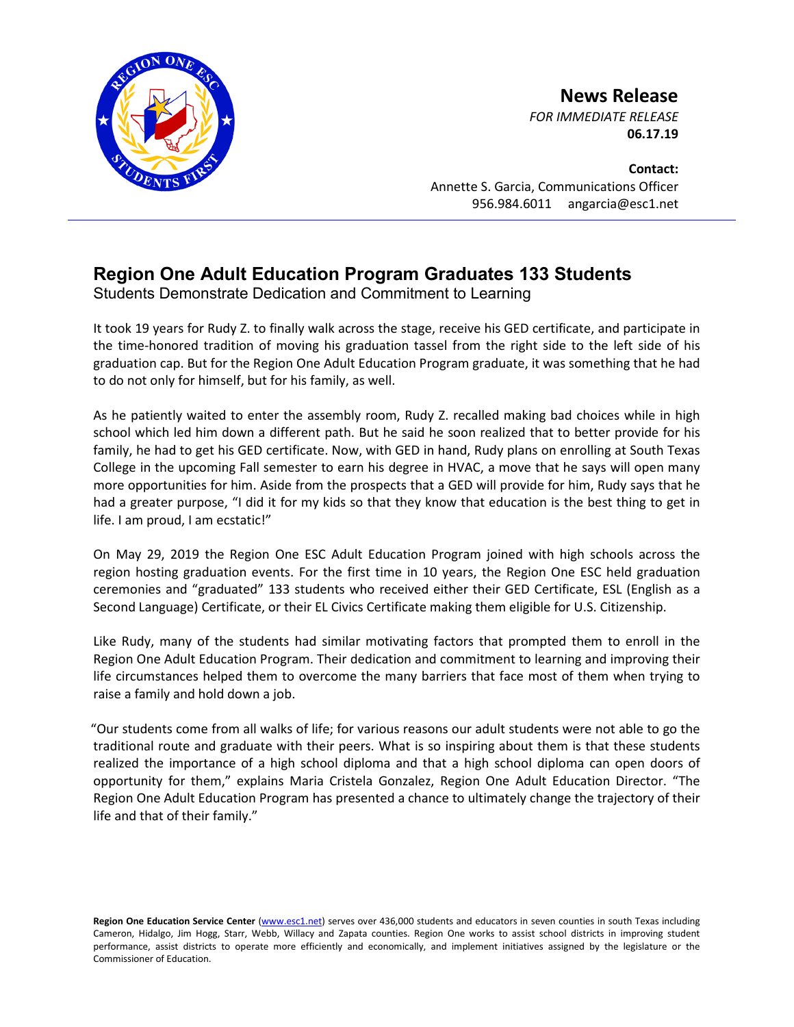

**News Release**

*FOR IMMEDIATE RELEASE* **06.17.19**

**Contact:** Annette S. Garcia, Communications Officer 956.984.6011 angarcia@esc1.net

## **Region One Adult Education Program Graduates 133 Students**

Students Demonstrate Dedication and Commitment to Learning

It took 19 years for Rudy Z. to finally walk across the stage, receive his GED certificate, and participate in the time-honored tradition of moving his graduation tassel from the right side to the left side of his graduation cap. But for the Region One Adult Education Program graduate, it was something that he had to do not only for himself, but for his family, as well.

As he patiently waited to enter the assembly room, Rudy Z. recalled making bad choices while in high school which led him down a different path. But he said he soon realized that to better provide for his family, he had to get his GED certificate. Now, with GED in hand, Rudy plans on enrolling at South Texas College in the upcoming Fall semester to earn his degree in HVAC, a move that he says will open many more opportunities for him. Aside from the prospects that a GED will provide for him, Rudy says that he had a greater purpose, "I did it for my kids so that they know that education is the best thing to get in life. I am proud, I am ecstatic!"

On May 29, 2019 the Region One ESC Adult Education Program joined with high schools across the region hosting graduation events. For the first time in 10 years, the Region One ESC held graduation ceremonies and "graduated" 133 students who received either their GED Certificate, ESL (English as a Second Language) Certificate, or their EL Civics Certificate making them eligible for U.S. Citizenship.

Like Rudy, many of the students had similar motivating factors that prompted them to enroll in the Region One Adult Education Program. Their dedication and commitment to learning and improving their life circumstances helped them to overcome the many barriers that face most of them when trying to raise a family and hold down a job.

"Our students come from all walks of life; for various reasons our adult students were not able to go the traditional route and graduate with their peers. What is so inspiring about them is that these students realized the importance of a high school diploma and that a high school diploma can open doors of opportunity for them," explains Maria Cristela Gonzalez, Region One Adult Education Director. "The Region One Adult Education Program has presented a chance to ultimately change the trajectory of their life and that of their family."

Region One Education Service Center [\(www.esc1.net\)](http://www.esc1.net/) serves over 436,000 students and educators in seven counties in south Texas including Cameron, Hidalgo, Jim Hogg, Starr, Webb, Willacy and Zapata counties. Region One works to assist school districts in improving student performance, assist districts to operate more efficiently and economically, and implement initiatives assigned by the legislature or the Commissioner of Education.